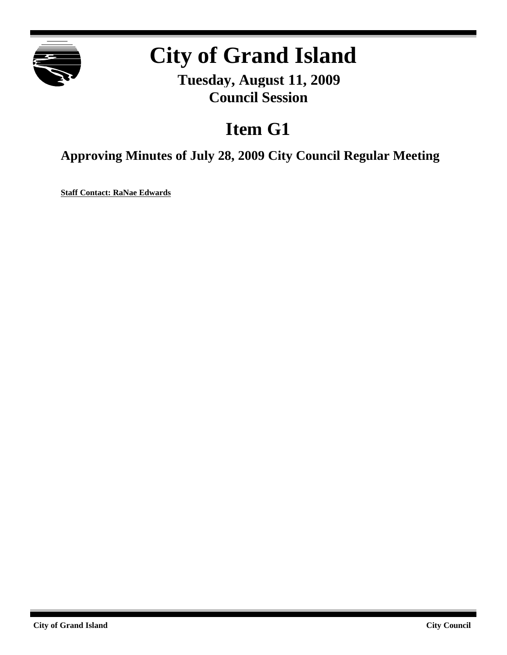

# **City of Grand Island**

**Tuesday, August 11, 2009 Council Session**

## **Item G1**

**Approving Minutes of July 28, 2009 City Council Regular Meeting**

**Staff Contact: RaNae Edwards**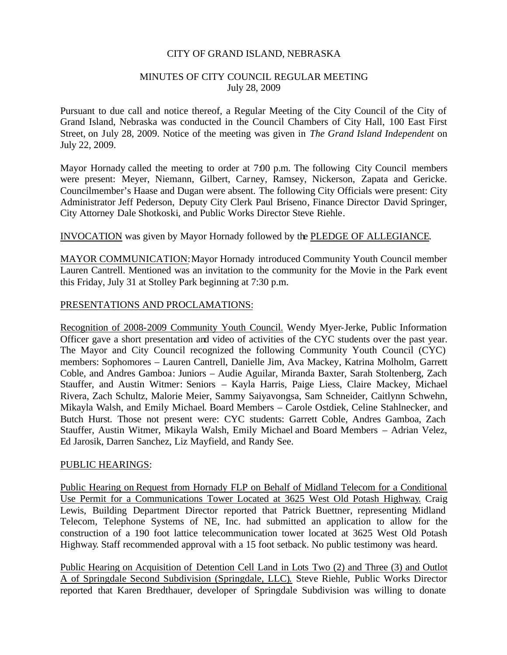#### CITY OF GRAND ISLAND, NEBRASKA

#### MINUTES OF CITY COUNCIL REGULAR MEETING July 28, 2009

Pursuant to due call and notice thereof, a Regular Meeting of the City Council of the City of Grand Island, Nebraska was conducted in the Council Chambers of City Hall, 100 East First Street, on July 28, 2009. Notice of the meeting was given in *The Grand Island Independent* on July 22, 2009.

Mayor Hornady called the meeting to order at 7:00 p.m. The following City Council members were present: Meyer, Niemann, Gilbert, Carney, Ramsey, Nickerson, Zapata and Gericke. Councilmember's Haase and Dugan were absent. The following City Officials were present: City Administrator Jeff Pederson, Deputy City Clerk Paul Briseno, Finance Director David Springer, City Attorney Dale Shotkoski, and Public Works Director Steve Riehle.

#### INVOCATION was given by Mayor Hornady followed by the PLEDGE OF ALLEGIANCE.

MAYOR COMMUNICATION:Mayor Hornady introduced Community Youth Council member Lauren Cantrell. Mentioned was an invitation to the community for the Movie in the Park event this Friday, July 31 at Stolley Park beginning at 7:30 p.m.

#### PRESENTATIONS AND PROCLAMATIONS:

Recognition of 2008-2009 Community Youth Council. Wendy Myer-Jerke, Public Information Officer gave a short presentation and video of activities of the CYC students over the past year. The Mayor and City Council recognized the following Community Youth Council (CYC) members: Sophomores – Lauren Cantrell, Danielle Jim, Ava Mackey, Katrina Molholm, Garrett Coble, and Andres Gamboa: Juniors – Audie Aguilar, Miranda Baxter, Sarah Stoltenberg, Zach Stauffer, and Austin Witmer: Seniors – Kayla Harris, Paige Liess, Claire Mackey, Michael Rivera, Zach Schultz, Malorie Meier, Sammy Saiyavongsa, Sam Schneider, Caitlynn Schwehn, Mikayla Walsh, and Emily Michael. Board Members – Carole Ostdiek, Celine Stahlnecker, and Butch Hurst. Those not present were: CYC students: Garrett Coble, Andres Gamboa, Zach Stauffer, Austin Witmer, Mikayla Walsh, Emily Michael and Board Members – Adrian Velez, Ed Jarosik, Darren Sanchez, Liz Mayfield, and Randy See.

#### PUBLIC HEARINGS:

Public Hearing on Request from Hornady FLP on Behalf of Midland Telecom for a Conditional Use Permit for a Communications Tower Located at 3625 West Old Potash Highway. Craig Lewis, Building Department Director reported that Patrick Buettner, representing Midland Telecom, Telephone Systems of NE, Inc. had submitted an application to allow for the construction of a 190 foot lattice telecommunication tower located at 3625 West Old Potash Highway. Staff recommended approval with a 15 foot setback. No public testimony was heard.

Public Hearing on Acquisition of Detention Cell Land in Lots Two (2) and Three (3) and Outlot A of Springdale Second Subdivision (Springdale, LLC). Steve Riehle, Public Works Director reported that Karen Bredthauer, developer of Springdale Subdivision was willing to donate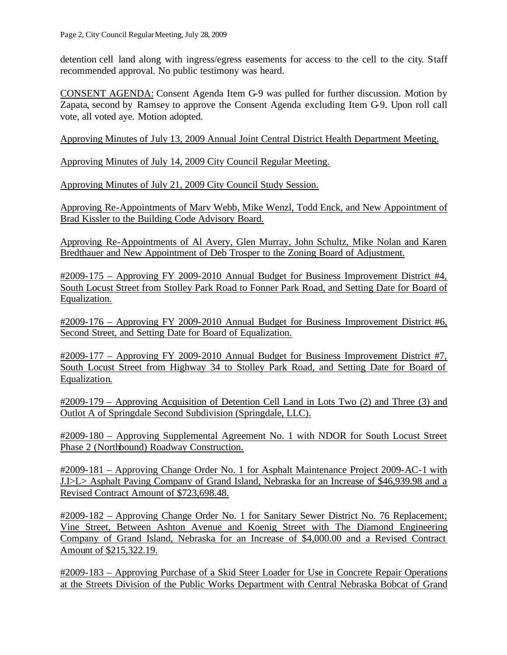detention cell land along with ingress/egress easements for access to the cell to the city. Staff recommended approval. No public testimony was heard.

CONSENT AGENDA: Consent Agenda Item G-9 was pulled for further discussion. Motion by Zapata, second by Ramsey to approve the Consent Agenda excluding Item G-9. Upon roll call vote, all voted aye. Motion adopted.

Approving Minutes of July 13, 2009 Annual Joint Central District Health Department Meeting.

Approving Minutes of July 14, 2009 City Council Regular Meeting.

Approving Minutes of July 21, 2009 City Council Study Session.

Approving Re-Appointments of Marv Webb, Mike Wenzl, Todd Enck, and New Appointment of Brad Kissler to the Building Code Advisory Board.

Approving Re-Appointments of Al Avery, Glen Murray, John Schultz, Mike Nolan and Karen Bredthauer and New Appointment of Deb Trosper to the Zoning Board of Adjustment.

#2009-175 – Approving FY 2009-2010 Annual Budget for Business Improvement District #4, South Locust Street from Stolley Park Road to Fonner Park Road, and Setting Date for Board of Equalization.

#2009-176 – Approving FY 2009-2010 Annual Budget for Business Improvement District #6, Second Street, and Setting Date for Board of Equalization.

#2009-177 – Approving FY 2009-2010 Annual Budget for Business Improvement District #7, South Locust Street from Highway 34 to Stolley Park Road, and Setting Date for Board of Equalization.

#2009-179 – Approving Acquisition of Detention Cell Land in Lots Two (2) and Three (3) and Outlot A of Springdale Second Subdivision (Springdale, LLC).

#2009-180 – Approving Supplemental Agreement No. 1 with NDOR for South Locust Street Phase 2 (Northbound) Roadway Construction.

#2009-181 – Approving Change Order No. 1 for Asphalt Maintenance Project 2009-AC-1 with J.I>L> Asphalt Paving Company of Grand Island, Nebraska for an Increase of \$46,939.98 and a Revised Contract Amount of \$723,698.48.

#2009-182 – Approving Change Order No. 1 for Sanitary Sewer District No. 76 Replacement; Vine Street, Between Ashton Avenue and Koenig Street with The Diamond Engineering Company of Grand Island, Nebraska for an Increase of \$4,000.00 and a Revised Contract Amount of \$215,322.19.

#2009-183 – Approving Purchase of a Skid Steer Loader for Use in Concrete Repair Operations at the Streets Division of the Public Works Department with Central Nebraska Bobcat of Grand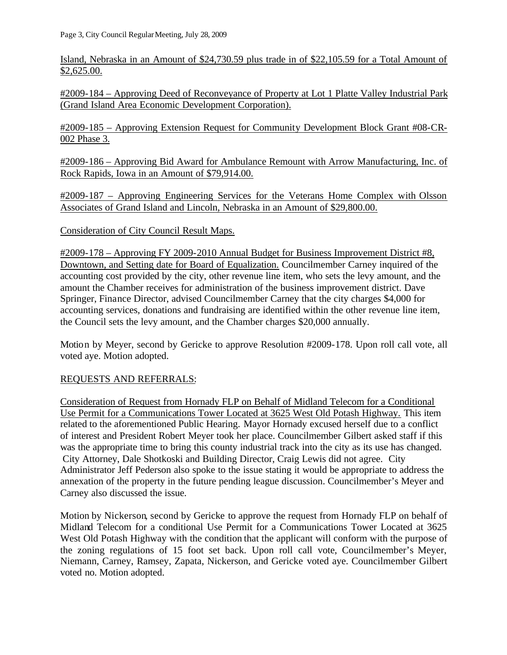Island, Nebraska in an Amount of \$24,730.59 plus trade in of \$22,105.59 for a Total Amount of \$2,625.00.

#2009-184 – Approving Deed of Reconveyance of Property at Lot 1 Platte Valley Industrial Park (Grand Island Area Economic Development Corporation).

#2009-185 – Approving Extension Request for Community Development Block Grant #08-CR-002 Phase 3.

#2009-186 – Approving Bid Award for Ambulance Remount with Arrow Manufacturing, Inc. of Rock Rapids, Iowa in an Amount of \$79,914.00.

#2009-187 – Approving Engineering Services for the Veterans Home Complex with Olsson Associates of Grand Island and Lincoln, Nebraska in an Amount of \$29,800.00.

Consideration of City Council Result Maps.

#2009-178 – Approving FY 2009-2010 Annual Budget for Business Improvement District #8, Downtown, and Setting date for Board of Equalization. Councilmember Carney inquired of the accounting cost provided by the city, other revenue line item, who sets the levy amount, and the amount the Chamber receives for administration of the business improvement district. Dave Springer, Finance Director, advised Councilmember Carney that the city charges \$4,000 for accounting services, donations and fundraising are identified within the other revenue line item, the Council sets the levy amount, and the Chamber charges \$20,000 annually.

Motion by Meyer, second by Gericke to approve Resolution #2009-178. Upon roll call vote, all voted aye. Motion adopted.

#### REQUESTS AND REFERRALS:

Consideration of Request from Hornady FLP on Behalf of Midland Telecom for a Conditional Use Permit for a Communications Tower Located at 3625 West Old Potash Highway. This item related to the aforementioned Public Hearing. Mayor Hornady excused herself due to a conflict of interest and President Robert Meyer took her place. Councilmember Gilbert asked staff if this was the appropriate time to bring this county industrial track into the city as its use has changed. City Attorney, Dale Shotkoski and Building Director, Craig Lewis did not agree. City Administrator Jeff Pederson also spoke to the issue stating it would be appropriate to address the annexation of the property in the future pending league discussion. Councilmember's Meyer and Carney also discussed the issue.

Motion by Nickerson, second by Gericke to approve the request from Hornady FLP on behalf of Midland Telecom for a conditional Use Permit for a Communications Tower Located at 3625 West Old Potash Highway with the condition that the applicant will conform with the purpose of the zoning regulations of 15 foot set back. Upon roll call vote, Councilmember's Meyer, Niemann, Carney, Ramsey, Zapata, Nickerson, and Gericke voted aye. Councilmember Gilbert voted no. Motion adopted.